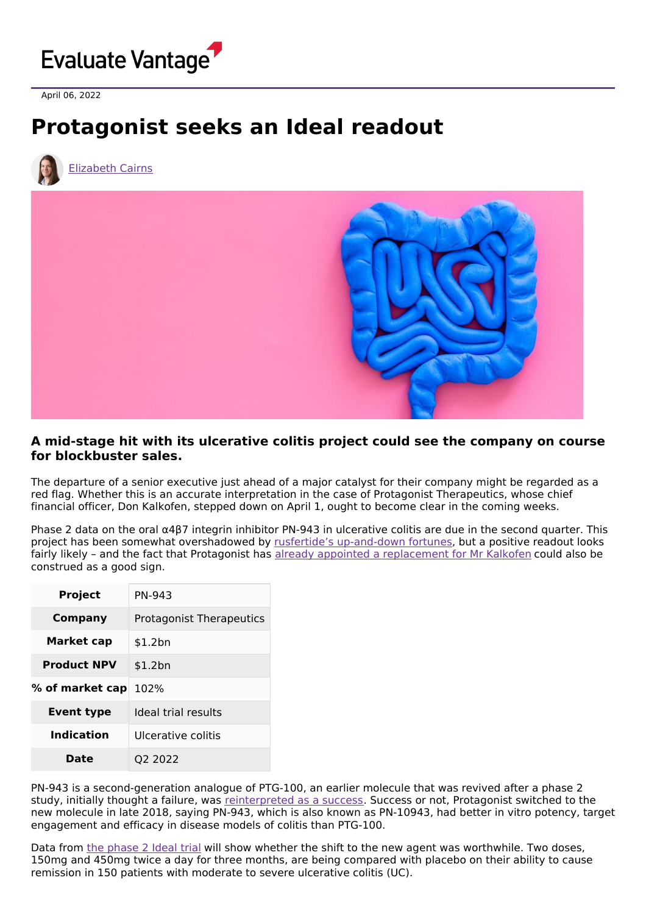

April 06, 2022

## **Protagonist seeks an Ideal readout**



[Elizabeth](https://www.evaluate.com/vantage/editorial-team/elizabeth-cairns) Cairns



## **A mid-stage hit with its ulcerative colitis project could see the company on course for blockbuster sales.**

The departure of a senior executive just ahead of a major catalyst for their company might be regarded as a red flag. Whether this is an accurate interpretation in the case of Protagonist Therapeutics, whose chief financial officer, Don Kalkofen, stepped down on April 1, ought to become clear in the coming weeks.

Phase 2 data on the oral α4β7 integrin inhibitor PN-943 in ulcerative colitis are due in the second quarter. This project has been somewhat overshadowed by rusfertide's [up-and-down](https://www.evaluate.com/vantage/articles/news/snippets/eyes-return-prize-protagonists-rusfertide) fortunes, but a positive readout looks fairly likely – and the fact that Protagonist has already appointed a [replacement](https://www.protagonist-inc.com/investors-media/press-releases/news-details/2022/Protagonist-Therapeutics-Announces-Appointment-of-Asif-Ali-as-Executive-Vice-President-and-Chief-Financial-Officer/default.aspx) for Mr Kalkofen could also be construed as a good sign.

| <b>Project</b>     | PN-943                          |
|--------------------|---------------------------------|
| Company            | <b>Protagonist Therapeutics</b> |
| Market cap         | \$1.2bn                         |
| <b>Product NPV</b> | \$1.2bn                         |
| % of market cap    | 102%                            |
| Event type         | Ideal trial results             |
| Indication         | Ulcerative colitis              |
| Date               | 02 2022                         |

PN-943 is a second-generation analogue of PTG-100, an earlier molecule that was revived after a phase 2 study, initially thought a failure, was [reinterpreted](https://www.evaluate.com/vantage/articles/news/trial-results/protagonist-will-need-more-perseverance-play-bowel-disease) as a success. Success or not, Protagonist switched to the new molecule in late 2018, saying PN-943, which is also known as PN-10943, had better in vitro potency, target engagement and efficacy in disease models of colitis than PTG-100.

Data from the [phase](https://clinicaltrials.gov/ct2/show/NCT04504383) 2 Ideal trial will show whether the shift to the new agent was worthwhile. Two doses, 150mg and 450mg twice a day for three months, are being compared with placebo on their ability to cause remission in 150 patients with moderate to severe ulcerative colitis (UC).